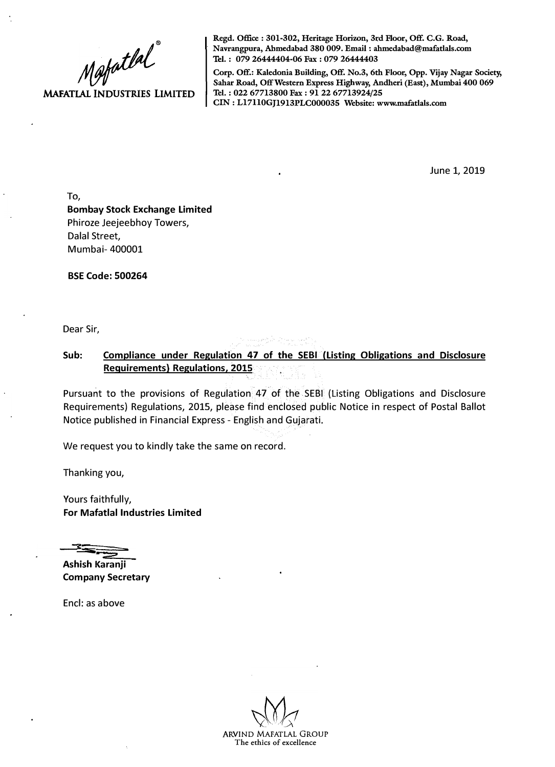**MAFATLAL INDUSTRIES LIMITED** 

**Regd. Office** : 301-302, Heritage Horizon, 3rd Floor, Off. C.G. Road,<br>
Navrangpura, Abmedabad 380 009. Email : ahmedabad@mafatlals.com<br>
Tel. : 079 26444404-06 Fax : 079 26444403<br>
Corp. Off.: Kaledonia Building, Off. No. 2 **· Navrangpura, Ahmedabad 380 009. Email: ahmedabad@mafatlals.com Tel. : 079 26444404-06 Fax : 079 26444403**

**Corp. Off.: Kaledonia Bnilding, Off. No.3, 6th Floor, Opp. Vijay Nagar Society, Sahar Road, Off Western Express Highway, Andheri (East), Mumbai 400 069 Tel. : 022 67713800 Fax : 91 22 67713924/25 CIN: Ll7110GJ1913PLC000035 Website: www.mafatlals.com**

June 1, 2019

**To, Bombay Stock Exchange Limited**  Phiroze Jeejeebhoy Towers, Dalal Street, Mumbai- 400001

**BSE Code: 500264** 

Dear Sir,

**Sub: Compliance under Regulation 47 of the SEBI (Listing Obligations and Disclosure Requirements) Regulations, 2015** 

Pursuant to the provisions of Regulation 47 of the SEBI (Listing Obligations and Disclosure Requirements) Regulations, 2015, please find enclosed public Notice in respect of Postal Ballot Notice published in Financial Express - English and Gujarati.

We request you to kindly take the same on record.

Thanking you,

Yours faithfully, **For Mafatlal Industries Limited** 

**C: Si** 

**Ashish Karanji Company Secretary** 

Encl: as above

ARVIND MAFATLAL GROUP **The ethics of excellence**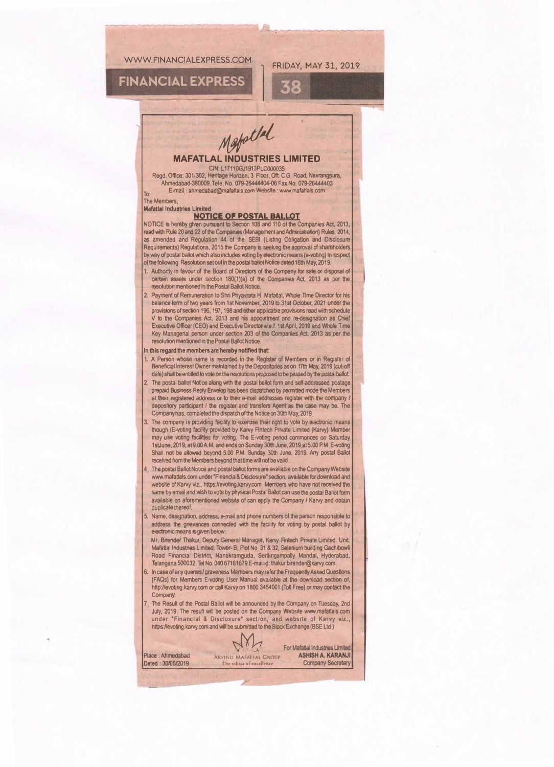#### WWW.FINANCIAL EXPRESS.COM

# **FINANCIAL EXPRESS**

### **FRIDAY, MAY 31, 2019**

 $55$ 

Mapollal

#### **MAFATLAL INDUSTRIES LIMITED** CIN: L17110GJ1913PLC000035

Regd. Office: 301-302, Heritage Horizon, 3 Floor, Off. C.G. Road, Navrangpura, Ahmedabad-380009 Tele No. 079-26444404-06 Fax No. 079-26444403 E-mail ahmedabad@mafatlals.com Website : www.mafatlals.com

The Members **Mafatial Industries Limited** 

#### **NOTICE OF POSTAL BAI.LOT**

NOTICE is hereby given pursuant to Section 108 and 110 of the Companies Act, 2013, read with Rule 20 and 22 of the Companies (Management and Administration) Rules, 2014, as amended and Regulation 44 of the SEBI (Listing Obligation and Disclosure Requirements) Regulations, 2015 the Company is seeking the approval of shareholders by way of postal ballot which also includes voting by electronic means (e-voting) in respect of the following Resolution set out in the postal ballot Notice dated 16th May, 2019.

- 1. Authority in favour of the Board of Directors of the Company for sale or disposal of certain assets under section 180(1)(a) of the Companies Act, 2013 as per the resolution mentioned in the Postal Ballot Notice.
- 2. Payment of Remuneration to Shri Priyavrata H. Mafatlal, Whole Time Director for his balance term of two years from 1st November, 2019 to 31st October, 2021 under the provisions of section 196, 197, 198 and other applicable provisions read with schedule V to the Companies Act, 2013 and his appointment and re-designation as Chief Executive Officer (CEO) and Executive Director w.e.f. 1st April, 2019 and Whole Time Key Managerial person under section 203 of the Companies Act, 2013 as per the resolution mentioned in the Postal Ballot Notice.

#### In this regard the members are hereby notified that:

- 1. A Person whose name is recorded in the Register of Members or in Register of Beneficial Interest Owner maintained by the Depositories as on 17th May, 2019 (cut-off date) shall be entitled to vote on the resolutions proposed to be passed by the postal ballot.
- 2. The postal ballot Notice along with the postal ballot form and self-addressed postage prepaid Business Reply Envelop has been dispatched by permitted mode the Members at their registered address or to their e-mail addresses register with the company depository participant / the register and transfers Agent as the case may be. The Company has, completed the dispatch of the Notice on 30th May, 2019
- 3. The company is providing facility to exercise their right to vote by electronic means though (E-voting facility provided by Karvy Fintech Private Limited (Karvy) Member<br>may use voting facilities for voting. The E-voting period commences on Saturday 1st June, 2019, at 9.00 A.M. and ends on Sunday 30th June, 2019, at 5.00 P.M. E-voting Shall not be allowed beyond 5.00 P.M. Sunday 30th June, 2019. Any postal Ballot received from the Members beyond that time will not be valid.
- 4 The postal Ballot Notice and postal ballot forms are available on the Company Website www.mafatlals.com under "Financial& Disclosure" section, available for download and website of Karvy viz., https://evoting.karvy.com. Members who have not received the same by email and wish to vote by physical Postal Ballot can use the postal Ballot form available on aforementioned website of can apply the Company / Karvy and obtain duplicate thereof.
- 5. Name, designation, address, e-mail and phone numbers of the parson responsible to address the gnevances connected with the facility for voting by postal ballot by electronic means is given below
	- Mr. Birender Thakur, Deputy General Manager, Karvy Fintech Private Limited. Unit: Mafatlal Industries Limited. Tower- B, Plot No. 31 & 32, Selenium building Gachibowli Road Financial District, Nanakramguda, Serilingampally Mandal, Hyderabad, Telangana 500032. Tel No. 040 67161679 E-mail id: thakur.birender@karvy.com.
- 6. In case of any queries/graveness Members may refer the Frequently Asked Questions (FAQs) for Members E-voting User Manual available at the download section of, http://evoting.karvy.com or call Karvy on 1800 3454001 (Toll Free) or may contact the Company.
- The Result of the Postal Ballot will be announced by the Company on Tuesday, 2nd July, 2019. The result will be posted on the Company Website www.mafatlals.com under "Financial & Disclosure" section, and website of Karvy viz., https://evoting.karvy.com and will be submitted to the Stock Exchange (BSE Ltd.)

Min

ARVIND MAFATIAL GROUP

Place: Ahmedabad Dated: 30/05/2019 For Mafatlal Industries Limited **ASHISH A. KARANJI Company Secretary**